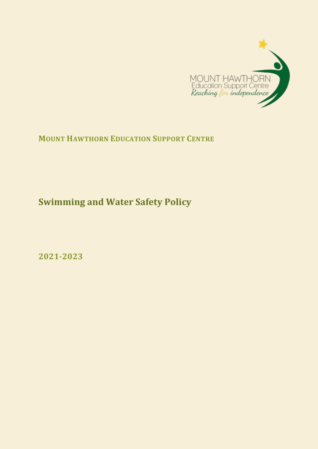

# **MOUNT HAWTHORN EDUCATION SUPPORT CENTRE**

**Swimming and Water Safety Policy**

**2021-2023**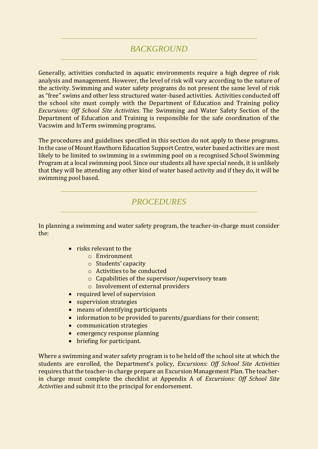## *BACKGROUND*

Generally, activities conducted in aquatic environments require a high degree of risk analysis and management. However, the level of risk will vary according to the nature of the activity. Swimming and water safety programs do not present the same level of risk as "free" swims and other less structured water-based activities. Activities conducted off the school site must comply with the Department of Education and Training policy *Excursions: Off School Site Activities.* The Swimming and Water Safety Section of the Department of Education and Training is responsible for the safe coordination of the Vacswim and InTerm swimming programs.

The procedures and guidelines specified in this section do not apply to these programs. In the case of Mount Hawthorn Education Support Centre, water based activities are most likely to be limited to swimming in a swimming pool on a recognised School Swimming Program at a local swimming pool. Since our students all have special needs, it is unlikely that they will be attending any other kind of water based activity and if they do, it will be swimming pool based.

### *PROCEDURES*

In planning a swimming and water safety program, the teacher-in-charge must consider the:

- risks relevant to the
	- o Environment
	- o Students' capacity
	- o Activities to be conducted
	- o Capabilities of the supervisor/supervisory team
	- o Involvement of external providers
- required level of supervision
- supervision strategies
- means of identifying participants
- information to be provided to parents/guardians for their consent;
- communication strategies
- emergency response planning
- briefing for participant.

Where a swimming and water safety program is to be held off the school site at which the students are enrolled, the Department's policy, *Excursions: Off School Site Activities*  requires that the teacher-in charge prepare an Excursion Management Plan. The teacherin charge must complete the checklist at Appendix A of *Excursions: Off School Site Activities* and submit it to the principal for endorsement.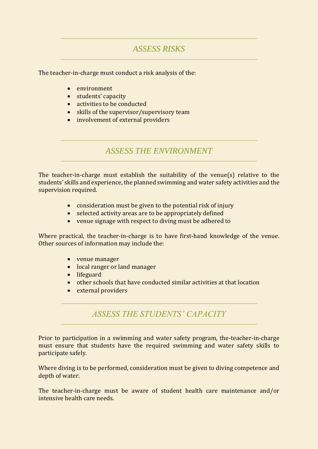## *ASSESS RISKS*

The teacher-in-charge must conduct a risk analysis of the:

- environment
- students' capacity
- activities to be conducted
- skills of the supervisor/supervisory team
- involvement of external providers

*ASSESS THE ENVIRONMENT*

The teacher-in-charge must establish the suitability of the venue(s) relative to the students' skills and experience, the planned swimming and water safety activities and the supervision required.

- consideration must be given to the potential risk of injury
- selected activity areas are to be appropriately defined
- venue signage with respect to diving must be adhered to

Where practical, the teacher-in-charge is to have first-hand knowledge of the venue. Other sources of information may include the:

- venue manager
- local ranger or land manager
- lifeguard
- other schools that have conducted similar activities at that location
- external providers

### *ASSESS THE STUDENTS' CAPACITY*

Prior to participation in a swimming and water safety program, the-teacher-in-charge must ensure that students have the required swimming and water safety skills to participate safely.

Where diving is to be performed, consideration must be given to diving competence and depth of water.

The teacher-in-charge must be aware of student health care maintenance and/or intensive health care needs.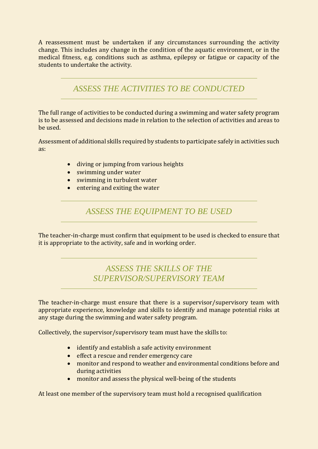A reassessment must be undertaken if any circumstances surrounding the activity change. This includes any change in the condition of the aquatic environment, or in the medical fitness, e.g. conditions such as asthma, epilepsy or fatigue or capacity of the students to undertake the activity.

*ASSESS THE ACTIVITIES TO BE CONDUCTED*

The full range of activities to be conducted during a swimming and water safety program is to be assessed and decisions made in relation to the selection of activities and areas to be used.

Assessment of additional skills required by students to participate safely in activities such as:

- diving or jumping from various heights
- swimming under water
- swimming in turbulent water
- $\bullet$  entering and exiting the water

*ASSESS THE EQUIPMENT TO BE USED*

The teacher-in-charge must confirm that equipment to be used is checked to ensure that it is appropriate to the activity, safe and in working order.

## *ASSESS THE SKILLS OF THE SUPERVISOR/SUPERVISORY TEAM*

The teacher-in-charge must ensure that there is a supervisor/supervisory team with appropriate experience, knowledge and skills to identify and manage potential risks at any stage during the swimming and water safety program.

Collectively, the supervisor/supervisory team must have the skills to:

- identify and establish a safe activity environment
- effect a rescue and render emergency care
- monitor and respond to weather and environmental conditions before and during activities
- monitor and assess the physical well-being of the students

At least one member of the supervisory team must hold a recognised qualification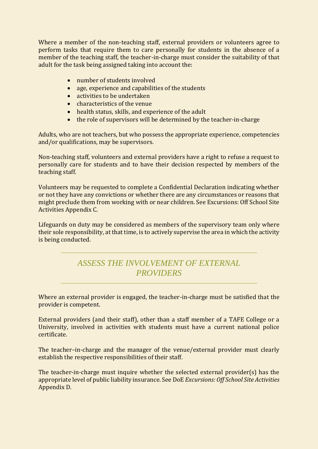Where a member of the non-teaching staff, external providers or volunteers agree to perform tasks that require them to care personally for students in the absence of a member of the teaching staff, the teacher-in-charge must consider the suitability of that adult for the task being assigned taking into account the:

- number of students involved
- age, experience and capabilities of the students
- activities to be undertaken
- characteristics of the venue
- health status, skills, and experience of the adult
- the role of supervisors will be determined by the teacher-in-charge

Adults, who are not teachers, but who possess the appropriate experience, competencies and/or qualifications, may be supervisors.

Non-teaching staff, volunteers and external providers have a right to refuse a request to personally care for students and to have their decision respected by members of the teaching staff.

Volunteers may be requested to complete a Confidential Declaration indicating whether or not they have any convictions or whether there are any circumstances or reasons that might preclude them from working with or near children. See Excursions: Off School Site Activities Appendix C.

Lifeguards on duty may be considered as members of the supervisory team only where their sole responsibility, at that time, is to actively supervise the area in which the activity is being conducted.

# *ASSESS THE INVOLVEMENT OF EXTERNAL PROVIDERS*

Where an external provider is engaged, the teacher-in-charge must be satisfied that the provider is competent.

External providers (and their staff), other than a staff member of a TAFE College or a University, involved in activities with students must have a current national police certificate.

The teacher–in-charge and the manager of the venue/external provider must clearly establish the respective responsibilities of their staff.

The teacher-in-charge must inquire whether the selected external provider(s) has the appropriate level of public liability insurance. See DoE *Excursions: Off School Site Activities*  Appendix D.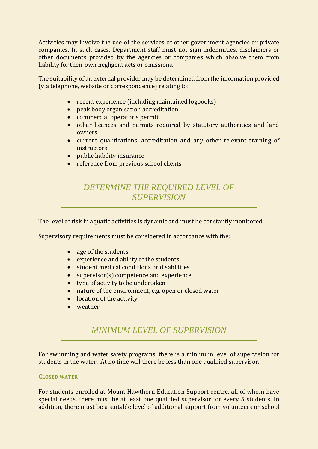Activities may involve the use of the services of other government agencies or private companies. In such cases, Department staff must not sign indemnities, disclaimers or other documents provided by the agencies or companies which absolve them from liability for their own negligent acts or omissions.

The suitability of an external provider may be determined from the information provided (via telephone, website or correspondence) relating to:

- recent experience (including maintained logbooks)
- peak body organisation accreditation
- commercial operator's permit
- other licences and permits required by statutory authorities and land owners
- current qualifications, accreditation and any other relevant training of instructors
- public liability insurance
- reference from previous school clients

# *DETERMINE THE REQUIRED LEVEL OF SUPERVISION*

The level of risk in aquatic activities is dynamic and must be constantly monitored.

Supervisory requirements must be considered in accordance with the:

- age of the students
- experience and ability of the students
- student medical conditions or disabilities
- supervisor(s) competence and experience
- type of activity to be undertaken
- nature of the environment, e.g. open or closed water
- location of the activity
- weather

### *MINIMUM LEVEL OF SUPERVISION*

For swimming and water safety programs, there is a minimum level of supervision for students in the water. At no time will there be less than one qualified supervisor.

#### **CLOSED WATER**

For students enrolled at Mount Hawthorn Education Support centre, all of whom have special needs, there must be at least one qualified supervisor for every 5 students. In addition, there must be a suitable level of additional support from volunteers or school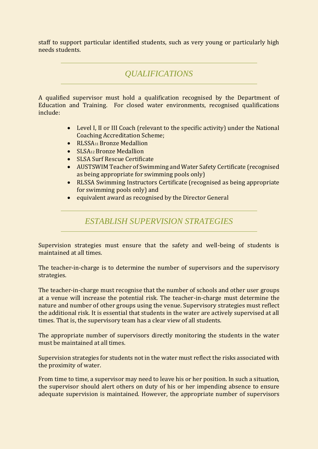staff to support particular identified students, such as very young or particularly high needs students.

## *QUALIFICATIONS*

A qualified supervisor must hold a qualification recognised by the Department of Education and Training. For closed water environments, recognised qualifications include:

- Level I, II or III Coach (relevant to the specific activity) under the National Coaching Accreditation Scheme;
- RLSSA<sub>11</sub> Bronze Medallion
- SLSA<sub>12</sub> Bronze Medallion
- SLSA Surf Rescue Certificate
- AUSTSWIM Teacher of Swimming and Water Safety Certificate (recognised as being appropriate for swimming pools only)
- RLSSA Swimming Instructors Certificate (recognised as being appropriate for swimming pools only) and
- equivalent award as recognised by the Director General

#### *ESTABLISH SUPERVISION STRATEGIES*

Supervision strategies must ensure that the safety and well-being of students is maintained at all times.

The teacher-in-charge is to determine the number of supervisors and the supervisory strategies.

The teacher-in-charge must recognise that the number of schools and other user groups at a venue will increase the potential risk. The teacher-in-charge must determine the nature and number of other groups using the venue. Supervisory strategies must reflect the additional risk. It is essential that students in the water are actively supervised at all times. That is, the supervisory team has a clear view of all students.

The appropriate number of supervisors directly monitoring the students in the water must be maintained at all times.

Supervision strategies for students not in the water must reflect the risks associated with the proximity of water.

From time to time, a supervisor may need to leave his or her position. In such a situation, the supervisor should alert others on duty of his or her impending absence to ensure adequate supervision is maintained. However, the appropriate number of supervisors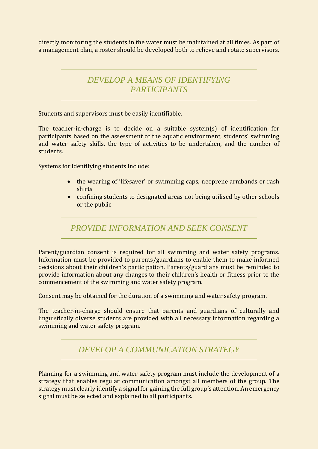directly monitoring the students in the water must be maintained at all times. As part of a management plan, a roster should be developed both to relieve and rotate supervisors.

# *DEVELOP A MEANS OF IDENTIFYING PARTICIPANTS*

Students and supervisors must be easily identifiable.

The teacher-in-charge is to decide on a suitable system(s) of identification for participants based on the assessment of the aquatic environment, students' swimming and water safety skills, the type of activities to be undertaken, and the number of students.

Systems for identifying students include:

- the wearing of 'lifesaver' or swimming caps, neoprene armbands or rash shirts
- confining students to designated areas not being utilised by other schools or the public

*PROVIDE INFORMATION AND SEEK CONSENT*

Parent/guardian consent is required for all swimming and water safety programs. Information must be provided to parents/guardians to enable them to make informed decisions about their children's participation. Parents/guardians must be reminded to provide information about any changes to their children's health or fitness prior to the commencement of the swimming and water safety program.

Consent may be obtained for the duration of a swimming and water safety program.

The teacher-in-charge should ensure that parents and guardians of culturally and linguistically diverse students are provided with all necessary information regarding a swimming and water safety program.

### *DEVELOP A COMMUNICATION STRATEGY*

Planning for a swimming and water safety program must include the development of a strategy that enables regular communication amongst all members of the group. The strategy must clearly identify a signal for gaining the full group's attention. An emergency signal must be selected and explained to all participants.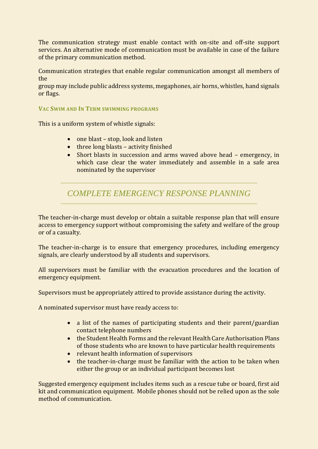The communication strategy must enable contact with on-site and off-site support services. An alternative mode of communication must be available in case of the failure of the primary communication method.

Communication strategies that enable regular communication amongst all members of the

group may include public address systems, megaphones, air horns, whistles, hand signals or flags.

#### **VAC SWIM AND IN TERM SWIMMING PROGRAMS**

This is a uniform system of whistle signals:

- $\bullet$  one blast stop, look and listen
- three long blasts activity finished
- Short blasts in succession and arms waved above head emergency, in which case clear the water immediately and assemble in a safe area nominated by the supervisor

*COMPLETE EMERGENCY RESPONSE PLANNING*

The teacher-in-charge must develop or obtain a suitable response plan that will ensure access to emergency support without compromising the safety and welfare of the group or of a casualty.

The teacher-in-charge is to ensure that emergency procedures, including emergency signals, are clearly understood by all students and supervisors.

All supervisors must be familiar with the evacuation procedures and the location of emergency equipment.

Supervisors must be appropriately attired to provide assistance during the activity.

A nominated supervisor must have ready access to:

- a list of the names of participating students and their parent/guardian contact telephone numbers
- the Student Health Forms and the relevant Health Care Authorisation Plans of those students who are known to have particular health requirements
- relevant health information of supervisors
- the teacher-in-charge must be familiar with the action to be taken when either the group or an individual participant becomes lost

Suggested emergency equipment includes items such as a rescue tube or board, first aid kit and communication equipment. Mobile phones should not be relied upon as the sole method of communication.